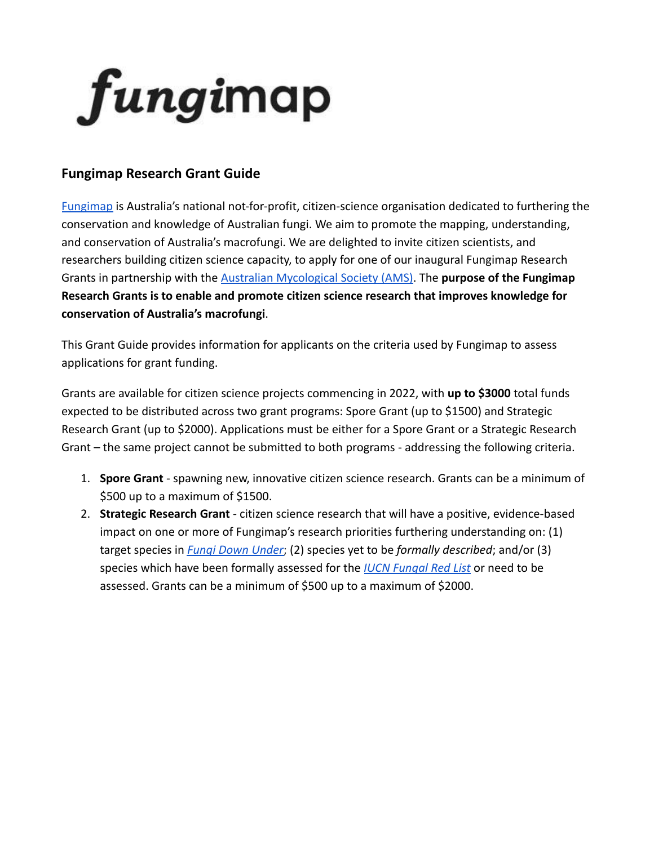

# **Fungimap Research Grant Guide**

[Fungimap](http://www.fungimap.org.au) is Australia's national not-for-profit, citizen-science organisation dedicated to furthering the conservation and knowledge of Australian fungi. We aim to promote the mapping, understanding, and conservation of Australia's macrofungi. We are delighted to invite citizen scientists, and researchers building citizen science capacity, to apply for one of our inaugural Fungimap Research Grants in partnership with the [Australian Mycological](https://www.australasianmycologicalsociety.com/) Society (AMS). The **purpose of the Fungimap Research Grants is to enable and promote citizen science research that improves knowledge for conservation of Australia's macrofungi**.

This Grant Guide provides information for applicants on the criteria used by Fungimap to assess applications for grant funding.

Grants are available for citizen science projects commencing in 2022, with **up to \$3000** total funds expected to be distributed across two grant programs: Spore Grant (up to \$1500) and Strategic Research Grant (up to \$2000). Applications must be either for a Spore Grant or a Strategic Research Grant – the same project cannot be submitted to both programs - addressing the following criteria.

- 1. **Spore Grant** spawning new, innovative citizen science research. Grants can be a minimum of \$500 up to a maximum of \$1500.
- 2. **Strategic Research Grant** citizen science research that will have a positive, evidence-based impact on one or more of Fungimap's research priorities furthering understanding on: (1) target species in *[Fungi Down Under](https://fungimap.org.au/fungi-down-under-100-target-species/)*; (2) species yet to be *formally described*; and/or (3) species which have been formally assessed for the *[IUCN Fungal Red List](http://iucn.ekoo.se/en/iucn/welcome#:~:text=The%20IUCN%20Red%20List%20is,of%20priorities%20in%20nature%20conservation.)* or need to be assessed. Grants can be a minimum of \$500 up to a maximum of \$2000.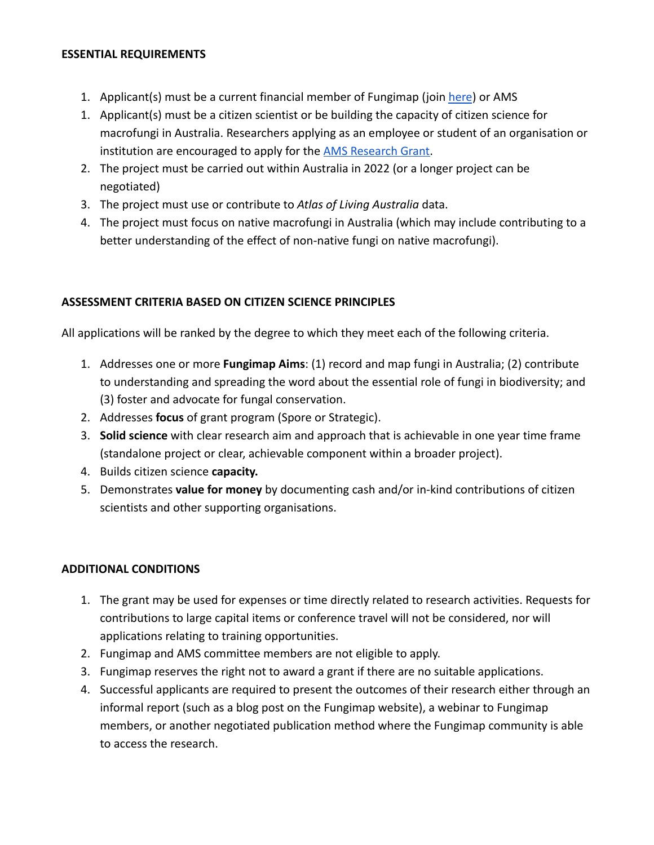#### **ESSENTIAL REQUIREMENTS**

- 1. Applicant(s) must be a current financial member of Fungimap (join [here](https://fungimap.org.au/get-involved/join/)) or AMS
- 1. Applicant(s) must be a citizen scientist or be building the capacity of citizen science for macrofungi in Australia. Researchers applying as an employee or student of an organisation or institution are encouraged to apply for the **[AMS Research](https://www.australasianmycologicalsociety.com/research-grants) Grant**.
- 2. The project must be carried out within Australia in 2022 (or a longer project can be negotiated)
- 3. The project must use or contribute to *Atlas of Living Australia* data.
- 4. The project must focus on native macrofungi in Australia (which may include contributing to a better understanding of the effect of non-native fungi on native macrofungi).

## **ASSESSMENT CRITERIA BASED ON CITIZEN SCIENCE PRINCIPLES**

All applications will be ranked by the degree to which they meet each of the following criteria.

- 1. Addresses one or more **Fungimap Aims**: (1) record and map fungi in Australia; (2) contribute to understanding and spreading the word about the essential role of fungi in biodiversity; and (3) foster and advocate for fungal conservation.
- 2. Addresses **focus** of grant program (Spore or Strategic).
- 3. **Solid science** with clear research aim and approach that is achievable in one year time frame (standalone project or clear, achievable component within a broader project).
- 4. Builds citizen science **capacity.**
- 5. Demonstrates **value for money** by documenting cash and/or in-kind contributions of citizen scientists and other supporting organisations.

## **ADDITIONAL CONDITIONS**

- 1. The grant may be used for expenses or time directly related to research activities. Requests for contributions to large capital items or conference travel will not be considered, nor will applications relating to training opportunities.
- 2. Fungimap and AMS committee members are not eligible to apply.
- 3. Fungimap reserves the right not to award a grant if there are no suitable applications.
- 4. Successful applicants are required to present the outcomes of their research either through an informal report (such as a blog post on the Fungimap website), a webinar to Fungimap members, or another negotiated publication method where the Fungimap community is able to access the research.